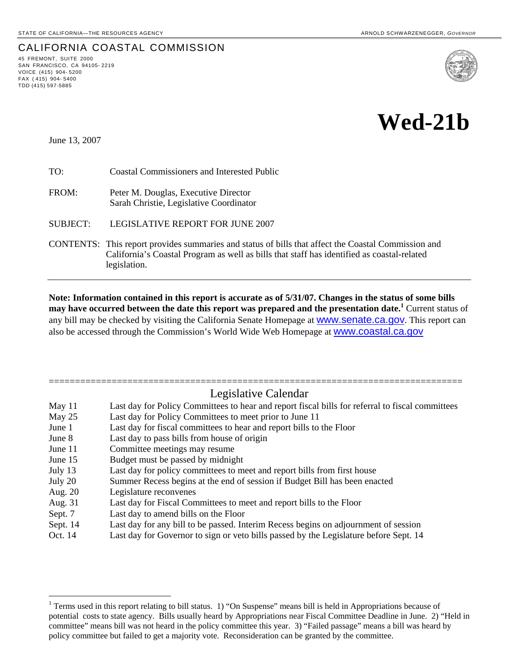## CALIFORNIA COASTAL COMMISSION 45 FREMONT, SUITE <sup>2000</sup>

SAN FRANCISCO, CA 94105- 2219 VOICE (415) 904- 5200 FAX  $(415)$  904-5400 TDD (415) 597-5885



# **Wed-21b**

June 13, 2007

1

TO: Coastal Commissioners and Interested Public

FROM: Peter M. Douglas, Executive Director Sarah Christie, Legislative Coordinator

SUBJECT: LEGISLATIVE REPORT FOR JUNE 2007

CONTENTS: This report provides summaries and status of bills that affect the Coastal Commission and California's Coastal Program as well as bills that staff has identified as coastal-related legislation.

**Note: Information contained in this report is accurate as of 5/31/07. Changes in the status of some bills may have occurred between the date this report was prepared and the presentation date.[1](#page-0-0)** Current status of any bill may be checked by visiting the California Senate Homepage at **WWW.Senate.ca.gov**. This report can also be accessed through the Commission's World Wide Web Homepage at [www.coastal.ca.gov](http://www.coastal.ca.gov/)

## =============================================================================== Legislative Calendar May 11 Last day for Policy Committees to hear and report fiscal bills for referral to fiscal committees May 25 Last day for Policy Committees to meet prior to June 11 June 1 Last day for fiscal committees to hear and report bills to the Floor June 8 Last day to pass bills from house of origin June 11 Committee meetings may resume June 15 Budget must be passed by midnight July 13 Last day for policy committees to meet and report bills from first house July 20 Summer Recess begins at the end of session if Budget Bill has been enacted Aug. 20 Legislature reconvenes Aug. 31 Last day for Fiscal Committees to meet and report bills to the Floor Sept. 7 Last day to amend bills on the Floor

- Sept. 14 Last day for any bill to be passed. Interim Recess begins on adjournment of session
- Oct. 14 Last day for Governor to sign or veto bills passed by the Legislature before Sept. 14

<span id="page-0-0"></span><sup>&</sup>lt;sup>1</sup> Terms used in this report relating to bill status. 1) "On Suspense" means bill is held in Appropriations because of potential costs to state agency. Bills usually heard by Appropriations near Fiscal Committee Deadline in June. 2) "Held in committee" means bill was not heard in the policy committee this year. 3) "Failed passage" means a bill was heard by policy committee but failed to get a majority vote. Reconsideration can be granted by the committee.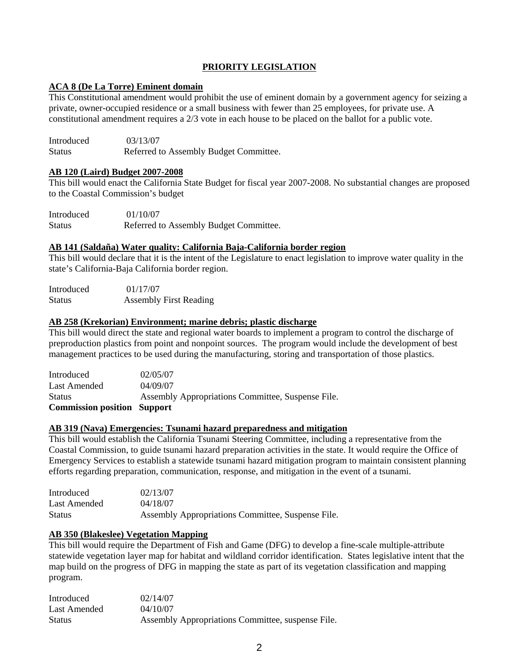#### **PRIORITY LEGISLATION**

#### **ACA 8 (De La Torre) Eminent domain**

This Constitutional amendment would prohibit the use of eminent domain by a government agency for seizing a private, owner-occupied residence or a small business with fewer than 25 employees, for private use. A constitutional amendment requires a 2/3 vote in each house to be placed on the ballot for a public vote.

Introduced 03/13/07 Status Referred to Assembly Budget Committee.

#### **AB 120 (Laird) Budget 2007-2008**

This bill would enact the California State Budget for fiscal year 2007-2008. No substantial changes are proposed to the Coastal Commission's budget

| Introduced    | 01/10/07                               |
|---------------|----------------------------------------|
| <b>Status</b> | Referred to Assembly Budget Committee. |

#### **AB 141 (Saldaña) Water quality: California Baja-California border region**

This bill would declare that it is the intent of the Legislature to enact legislation to improve water quality in the state's California-Baja California border region.

| Introduced    | 01/17/07                      |
|---------------|-------------------------------|
| <b>Status</b> | <b>Assembly First Reading</b> |

#### **AB 258 (Krekorian) Environment; marine debris; plastic discharge**

This bill would direct the state and regional water boards to implement a program to control the discharge of preproduction plastics from point and nonpoint sources. The program would include the development of best management practices to be used during the manufacturing, storing and transportation of those plastics.

| <b>Commission position Support</b> |                                                   |
|------------------------------------|---------------------------------------------------|
| <b>Status</b>                      | Assembly Appropriations Committee, Suspense File. |
| Last Amended                       | 04/09/07                                          |
| Introduced                         | 02/05/07                                          |

#### **AB 319 (Nava) Emergencies: Tsunami hazard preparedness and mitigation**

This bill would establish the California Tsunami Steering Committee, including a representative from the Coastal Commission, to guide tsunami hazard preparation activities in the state. It would require the Office of Emergency Services to establish a statewide tsunami hazard mitigation program to maintain consistent planning efforts regarding preparation, communication, response, and mitigation in the event of a tsunami.

| Introduced    | 02/13/07                                          |
|---------------|---------------------------------------------------|
| Last Amended  | 04/18/07                                          |
| <b>Status</b> | Assembly Appropriations Committee, Suspense File. |

#### **AB 350 (Blakeslee) Vegetation Mapping**

This bill would require the Department of Fish and Game (DFG) to develop a fine-scale multiple-attribute statewide vegetation layer map for habitat and wildland corridor identification. States legislative intent that the map build on the progress of DFG in mapping the state as part of its vegetation classification and mapping program.

| Introduced    | 02/14/07                                          |
|---------------|---------------------------------------------------|
| Last Amended  | 04/10/07                                          |
| <b>Status</b> | Assembly Appropriations Committee, suspense File. |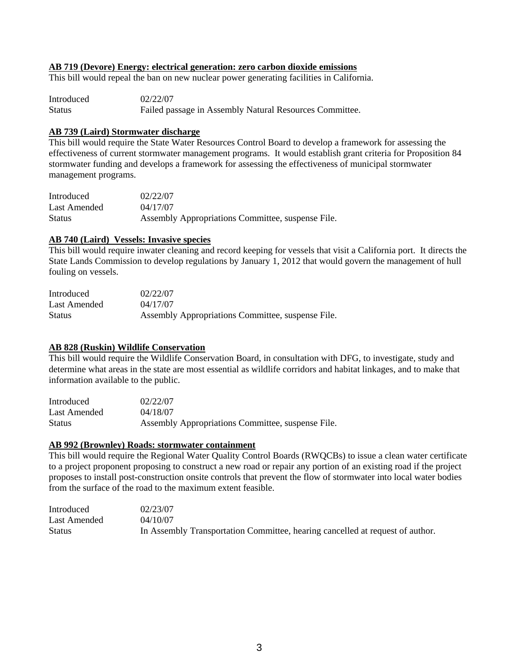#### **AB 719 (Devore) Energy: electrical generation: zero carbon dioxide emissions**

This bill would repeal the ban on new nuclear power generating facilities in California.

| Introduced    | 02/22/07                                                |
|---------------|---------------------------------------------------------|
| <b>Status</b> | Failed passage in Assembly Natural Resources Committee. |

#### **AB 739 (Laird) Stormwater discharge**

This bill would require the State Water Resources Control Board to develop a framework for assessing the effectiveness of current stormwater management programs. It would establish grant criteria for Proposition 84 stormwater funding and develops a framework for assessing the effectiveness of municipal stormwater management programs.

| Introduced    | 02/22/07                                          |
|---------------|---------------------------------------------------|
| Last Amended  | 04/17/07                                          |
| <b>Status</b> | Assembly Appropriations Committee, suspense File. |

#### **AB 740 (Laird) Vessels: Invasive species**

This bill would require inwater cleaning and record keeping for vessels that visit a California port. It directs the State Lands Commission to develop regulations by January 1, 2012 that would govern the management of hull fouling on vessels.

| Introduced    | 02/22/07                                          |
|---------------|---------------------------------------------------|
| Last Amended  | 04/17/07                                          |
| <b>Status</b> | Assembly Appropriations Committee, suspense File. |

#### **AB 828 (Ruskin) Wildlife Conservation**

This bill would require the Wildlife Conservation Board, in consultation with DFG, to investigate, study and determine what areas in the state are most essential as wildlife corridors and habitat linkages, and to make that information available to the public.

| Introduced   | 02/22/07                                          |
|--------------|---------------------------------------------------|
| Last Amended | 04/18/07                                          |
| Status       | Assembly Appropriations Committee, suspense File. |

#### **AB 992 (Brownley) Roads: stormwater containment**

This bill would require the Regional Water Quality Control Boards (RWQCBs) to issue a clean water certificate to a project proponent proposing to construct a new road or repair any portion of an existing road if the project proposes to install post-construction onsite controls that prevent the flow of stormwater into local water bodies from the surface of the road to the maximum extent feasible.

| Introduced    | 02/23/07                                                                      |
|---------------|-------------------------------------------------------------------------------|
| Last Amended  | 04/10/07                                                                      |
| <b>Status</b> | In Assembly Transportation Committee, hearing cancelled at request of author. |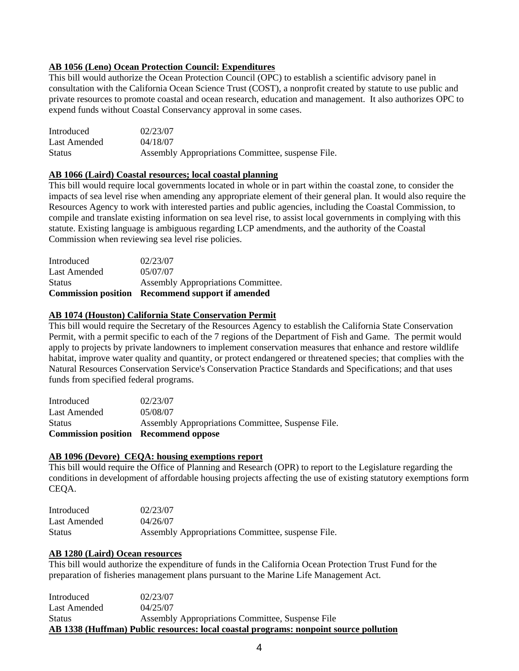### **AB 1056 (Leno) Ocean Protection Council: Expenditures**

This bill would authorize the Ocean Protection Council (OPC) to establish a scientific advisory panel in consultation with the California Ocean Science Trust (COST), a nonprofit created by statute to use public and private resources to promote coastal and ocean research, education and management. It also authorizes OPC to expend funds without Coastal Conservancy approval in some cases.

| Introduced    | 02/23/07                                          |
|---------------|---------------------------------------------------|
| Last Amended  | 04/18/07                                          |
| <b>Status</b> | Assembly Appropriations Committee, suspense File. |

#### **AB 1066 (Laird) Coastal resources; local coastal planning**

This bill would require local governments located in whole or in part within the coastal zone, to consider the impacts of sea level rise when amending any appropriate element of their general plan. It would also require the Resources Agency to work with interested parties and public agencies, including the Coastal Commission, to compile and translate existing information on sea level rise, to assist local governments in complying with this statute. Existing language is ambiguous regarding LCP amendments, and the authority of the Coastal Commission when reviewing sea level rise policies.

|               | <b>Commission position</b> Recommend support if amended |
|---------------|---------------------------------------------------------|
| <b>Status</b> | Assembly Appropriations Committee.                      |
| Last Amended  | 05/07/07                                                |
| Introduced    | 02/23/07                                                |

#### **AB 1074 (Houston) California State Conservation Permit**

This bill would require the Secretary of the Resources Agency to establish the California State Conservation Permit, with a permit specific to each of the 7 regions of the Department of Fish and Game. The permit would apply to projects by private landowners to implement conservation measures that enhance and restore wildlife habitat, improve water quality and quantity, or protect endangered or threatened species; that complies with the Natural Resources Conservation Service's Conservation Practice Standards and Specifications; and that uses funds from specified federal programs.

| <b>Commission position Recommend oppose</b> |                                                   |
|---------------------------------------------|---------------------------------------------------|
| <b>Status</b>                               | Assembly Appropriations Committee, Suspense File. |
| Last Amended                                | 05/08/07                                          |
| Introduced                                  | 02/23/07                                          |

#### **AB 1096 (Devore) CEQA: housing exemptions report**

This bill would require the Office of Planning and Research (OPR) to report to the Legislature regarding the conditions in development of affordable housing projects affecting the use of existing statutory exemptions form CEQA.

| Introduced    | 02/23/07                                          |
|---------------|---------------------------------------------------|
| Last Amended  | 04/26/07                                          |
| <b>Status</b> | Assembly Appropriations Committee, suspense File. |

#### **AB 1280 (Laird) Ocean resources**

This bill would authorize the expenditure of funds in the California Ocean Protection Trust Fund for the preparation of fisheries management plans pursuant to the Marine Life Management Act.

| Introduced                                                                            | 02/23/07                                         |  |
|---------------------------------------------------------------------------------------|--------------------------------------------------|--|
| Last Amended                                                                          | 04/25/07                                         |  |
| <b>Status</b>                                                                         | Assembly Appropriations Committee, Suspense File |  |
| AB 1338 (Huffman) Public resources: local coastal programs: nonpoint source pollution |                                                  |  |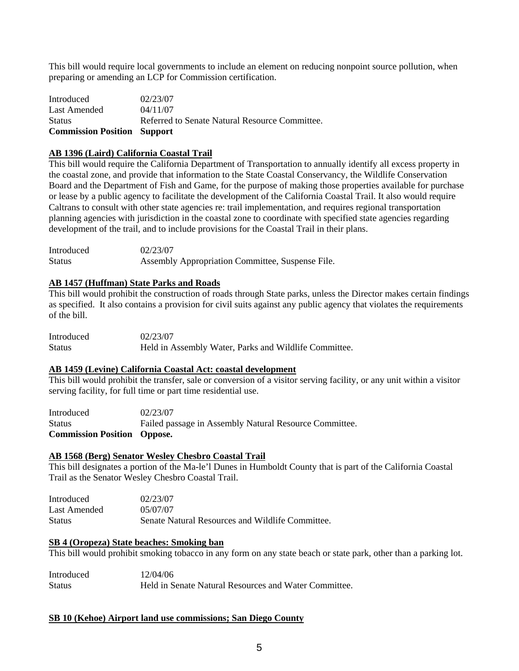This bill would require local governments to include an element on reducing nonpoint source pollution, when preparing or amending an LCP for Commission certification.

| <b>Commission Position Support</b> |                                                |
|------------------------------------|------------------------------------------------|
| <b>Status</b>                      | Referred to Senate Natural Resource Committee. |
| Last Amended                       | 04/11/07                                       |
| Introduced                         | 02/23/07                                       |

#### **AB 1396 (Laird) California Coastal Trail**

This bill would require the California Department of Transportation to annually identify all excess property in the coastal zone, and provide that information to the State Coastal Conservancy, the Wildlife Conservation Board and the Department of Fish and Game, for the purpose of making those properties available for purchase or lease by a public agency to facilitate the development of the California Coastal Trail. It also would require Caltrans to consult with other state agencies re: trail implementation, and requires regional transportation planning agencies with jurisdiction in the coastal zone to coordinate with specified state agencies regarding development of the trail, and to include provisions for the Coastal Trail in their plans.

| Introduced | 02/23/07                                         |
|------------|--------------------------------------------------|
| Status     | Assembly Appropriation Committee, Suspense File. |

#### **AB 1457 (Huffman) State Parks and Roads**

This bill would prohibit the construction of roads through State parks, unless the Director makes certain findings as specified. It also contains a provision for civil suits against any public agency that violates the requirements of the bill.

| Introduced | 02/23/07                                              |
|------------|-------------------------------------------------------|
| Status     | Held in Assembly Water, Parks and Wildlife Committee. |

#### **AB 1459 (Levine) California Coastal Act: coastal development**

This bill would prohibit the transfer, sale or conversion of a visitor serving facility, or any unit within a visitor serving facility, for full time or part time residential use.

| <b>Commission Position Oppose.</b> |                                                        |
|------------------------------------|--------------------------------------------------------|
| <b>Status</b>                      | Failed passage in Assembly Natural Resource Committee. |
| Introduced                         | 02/23/07                                               |

#### **AB 1568 (Berg) Senator Wesley Chesbro Coastal Trail**

This bill designates a portion of the Ma-le'l Dunes in Humboldt County that is part of the California Coastal Trail as the Senator Wesley Chesbro Coastal Trail.

| Introduced    | 02/23/07                                         |
|---------------|--------------------------------------------------|
| Last Amended  | 05/07/07                                         |
| <b>Status</b> | Senate Natural Resources and Wildlife Committee. |

#### **SB 4 (Oropeza) State beaches: Smoking ban**

This bill would prohibit smoking tobacco in any form on any state beach or state park, other than a parking lot.

| Introduced    | 12/04/06                                              |
|---------------|-------------------------------------------------------|
| <b>Status</b> | Held in Senate Natural Resources and Water Committee. |

#### **SB 10 (Kehoe) Airport land use commissions; San Diego County**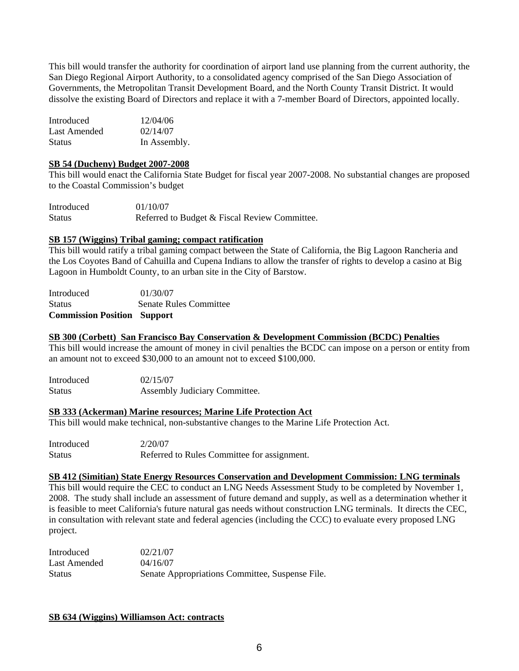This bill would transfer the authority for coordination of airport land use planning from the current authority, the San Diego Regional Airport Authority, to a consolidated agency comprised of the San Diego Association of Governments, the Metropolitan Transit Development Board, and the North County Transit District. It would dissolve the existing Board of Directors and replace it with a 7-member Board of Directors, appointed locally.

| Introduced    | 12/04/06     |
|---------------|--------------|
| Last Amended  | 02/14/07     |
| <b>Status</b> | In Assembly. |

#### **SB 54 (Ducheny) Budget 2007-2008**

This bill would enact the California State Budget for fiscal year 2007-2008. No substantial changes are proposed to the Coastal Commission's budget

| Introduced    | 01/10/07                                      |
|---------------|-----------------------------------------------|
| <b>Status</b> | Referred to Budget & Fiscal Review Committee. |

#### **SB 157 (Wiggins) Tribal gaming; compact ratification**

This bill would ratify a tribal gaming compact between the State of California, the Big Lagoon Rancheria and the Los Coyotes Band of Cahuilla and Cupena Indians to allow the transfer of rights to develop a casino at Big Lagoon in Humboldt County, to an urban site in the City of Barstow.

| <b>Commission Position Support</b> |                        |
|------------------------------------|------------------------|
| <b>Status</b>                      | Senate Rules Committee |
| <b>Introduced</b>                  | 01/30/07               |

#### **SB 300 (Corbett) San Francisco Bay Conservation & Development Commission (BCDC) Penalties**

This bill would increase the amount of money in civil penalties the BCDC can impose on a person or entity from an amount not to exceed \$30,000 to an amount not to exceed \$100,000.

| Introduced | 02/15/07                      |
|------------|-------------------------------|
| Status     | Assembly Judiciary Committee. |

#### **SB 333 (Ackerman) Marine resources; Marine Life Protection Act**

This bill would make technical, non-substantive changes to the Marine Life Protection Act.

| Introduced | 2/20/07                                     |
|------------|---------------------------------------------|
| Status     | Referred to Rules Committee for assignment. |

#### **SB 412 (Simitian) State Energy Resources Conservation and Development Commission: LNG terminals**

This bill would require the CEC to conduct an LNG Needs Assessment Study to be completed by November 1, 2008. The study shall include an assessment of future demand and supply, as well as a determination whether it is feasible to meet California's future natural gas needs without construction LNG terminals. It directs the CEC, in consultation with relevant state and federal agencies (including the CCC) to evaluate every proposed LNG project.

| Introduced    | 02/21/07                                        |
|---------------|-------------------------------------------------|
| Last Amended  | 04/16/07                                        |
| <b>Status</b> | Senate Appropriations Committee, Suspense File. |

#### **SB 634 (Wiggins) Williamson Act: contracts**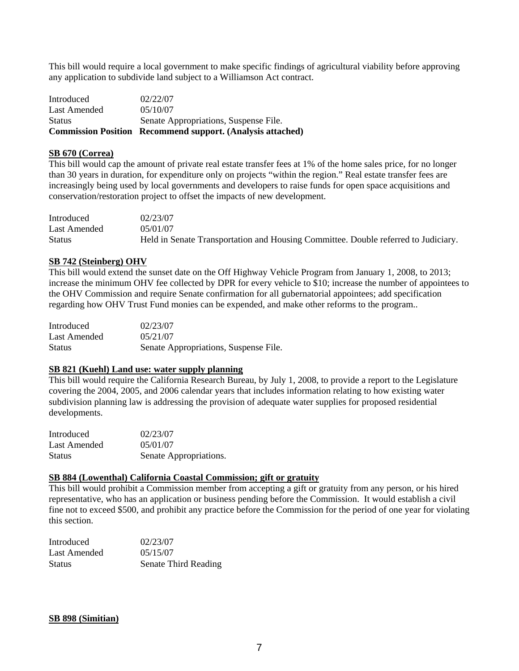This bill would require a local government to make specific findings of agricultural viability before approving any application to subdivide land subject to a Williamson Act contract.

|               | <b>Commission Position Recommend support. (Analysis attached)</b> |
|---------------|-------------------------------------------------------------------|
| <b>Status</b> | Senate Appropriations, Suspense File.                             |
| Last Amended  | 0.5/10/07                                                         |
| Introduced    | 02/22/07                                                          |

#### **SB 670 (Correa)**

This bill would cap the amount of private real estate transfer fees at 1% of the home sales price, for no longer than 30 years in duration, for expenditure only on projects "within the region." Real estate transfer fees are increasingly being used by local governments and developers to raise funds for open space acquisitions and conservation/restoration project to offset the impacts of new development.

| Introduced    | 02/23/07                                                                           |
|---------------|------------------------------------------------------------------------------------|
| Last Amended  | 05/01/07                                                                           |
| <b>Status</b> | Held in Senate Transportation and Housing Committee. Double referred to Judiciary. |

#### **SB 742 (Steinberg) OHV**

This bill would extend the sunset date on the Off Highway Vehicle Program from January 1, 2008, to 2013; increase the minimum OHV fee collected by DPR for every vehicle to \$10; increase the number of appointees to the OHV Commission and require Senate confirmation for all gubernatorial appointees; add specification regarding how OHV Trust Fund monies can be expended, and make other reforms to the program..

| Introduced    | 02/23/07                              |
|---------------|---------------------------------------|
| Last Amended  | 0.5/21/07                             |
| <b>Status</b> | Senate Appropriations, Suspense File. |

#### **SB 821 (Kuehl) Land use: water supply planning**

This bill would require the California Research Bureau, by July 1, 2008, to provide a report to the Legislature covering the 2004, 2005, and 2006 calendar years that includes information relating to how existing water subdivision planning law is addressing the provision of adequate water supplies for proposed residential developments.

| <b>Introduced</b> | 02/23/07               |
|-------------------|------------------------|
| Last Amended      | 05/01/07               |
| <b>Status</b>     | Senate Appropriations. |

#### **SB 884 (Lowenthal) California Coastal Commission; gift or gratuity**

This bill would prohibit a Commission member from accepting a gift or gratuity from any person, or his hired representative, who has an application or business pending before the Commission. It would establish a civil fine not to exceed \$500, and prohibit any practice before the Commission for the period of one year for violating this section.

| Introduced    | 02/23/07             |
|---------------|----------------------|
| Last Amended  | 05/15/07             |
| <b>Status</b> | Senate Third Reading |

#### **SB 898 (Simitian)**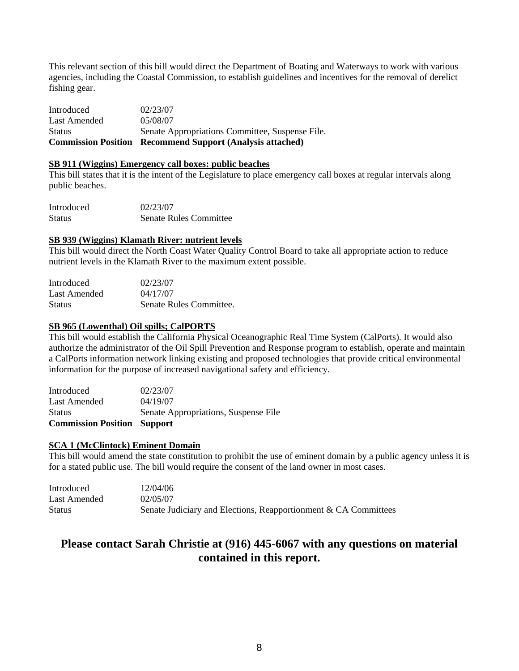This relevant section of this bill would direct the Department of Boating and Waterways to work with various agencies, including the Coastal Commission, to establish guidelines and incentives for the removal of derelict fishing gear.

| <b>Commission Position</b> | <b>Recommend Support (Analysis attached)</b>    |
|----------------------------|-------------------------------------------------|
| <b>Status</b>              | Senate Appropriations Committee, Suspense File. |
| Last Amended               | 05/08/07                                        |
| Introduced                 | 02/23/07                                        |

#### **SB 911 (Wiggins) Emergency call boxes: public beaches**

This bill states that it is the intent of the Legislature to place emergency call boxes at regular intervals along public beaches.

| Introduced    | 02/23/07                      |
|---------------|-------------------------------|
| <b>Status</b> | <b>Senate Rules Committee</b> |

#### **SB 939 (Wiggins) Klamath River: nutrient levels**

This bill would direct the North Coast Water Quality Control Board to take all appropriate action to reduce nutrient levels in the Klamath River to the maximum extent possible.

| Introduced    | 02/23/07                |
|---------------|-------------------------|
| Last Amended  | 04/17/07                |
| <b>Status</b> | Senate Rules Committee. |

#### **SB 965 (Lowenthal) Oil spills; CalPORTS**

This bill would establish the California Physical Oceanographic Real Time System (CalPorts). It would also authorize the administrator of the Oil Spill Prevention and Response program to establish, operate and maintain a CalPorts information network linking existing and proposed technologies that provide critical environmental information for the purpose of increased navigational safety and efficiency.

| <b>Commission Position Support</b> |                                      |
|------------------------------------|--------------------------------------|
| <b>Status</b>                      | Senate Appropriations, Suspense File |
| Last Amended                       | 04/19/07                             |
| Introduced                         | 02/23/07                             |

## **SCA 1 (McClintock) Eminent Domain**

This bill would amend the state constitution to prohibit the use of eminent domain by a public agency unless it is for a stated public use. The bill would require the consent of the land owner in most cases.

| Introduced   | 12/04/06                                                        |
|--------------|-----------------------------------------------------------------|
| Last Amended | 02/05/07                                                        |
| Status       | Senate Judiciary and Elections, Reapportionment & CA Committees |

## **Please contact Sarah Christie at (916) 445-6067 with any questions on material contained in this report.**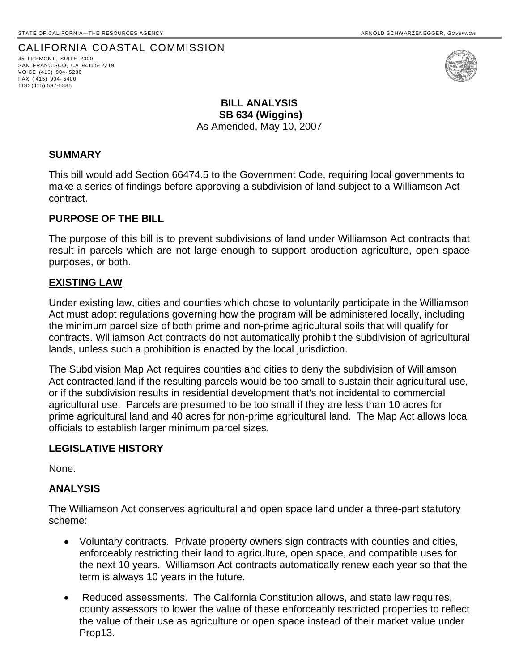## CALIFORNIA COASTAL COMMISSION 45 FREMONT, SUITE <sup>2000</sup>

SAN FRANCISCO, CA 94105- 2219 VOICE (415) 904- 5200 FAX ( 415) 904- 5400 TDD (415) 597-5885



## **BILL ANALYSIS SB 634 (Wiggins)**  As Amended, May 10, 2007

#### **SUMMARY**

This bill would add Section 66474.5 to the Government Code, requiring local governments to make a series of findings before approving a subdivision of land subject to a Williamson Act contract.

#### **PURPOSE OF THE BILL**

The purpose of this bill is to prevent subdivisions of land under Williamson Act contracts that result in parcels which are not large enough to support production agriculture, open space purposes, or both.

#### **EXISTING LAW**

Under existing law, cities and counties which chose to voluntarily participate in the Williamson Act must adopt regulations governing how the program will be administered locally, including the minimum parcel size of both prime and non-prime agricultural soils that will qualify for contracts. Williamson Act contracts do not automatically prohibit the subdivision of agricultural lands, unless such a prohibition is enacted by the local jurisdiction.

The Subdivision Map Act requires counties and cities to deny the subdivision of Williamson Act contracted land if the resulting parcels would be too small to sustain their agricultural use, or if the subdivision results in residential development that's not incidental to commercial agricultural use. Parcels are presumed to be too small if they are less than 10 acres for prime agricultural land and 40 acres for non-prime agricultural land. The Map Act allows local officials to establish larger minimum parcel sizes.

## **LEGISLATIVE HISTORY**

None.

## **ANALYSIS**

The Williamson Act conserves agricultural and open space land under a three-part statutory scheme:

- Voluntary contracts. Private property owners sign contracts with counties and cities, enforceably restricting their land to agriculture, open space, and compatible uses for the next 10 years. Williamson Act contracts automatically renew each year so that the term is always 10 years in the future.
- Reduced assessments. The California Constitution allows, and state law requires, county assessors to lower the value of these enforceably restricted properties to reflect the value of their use as agriculture or open space instead of their market value under Prop13.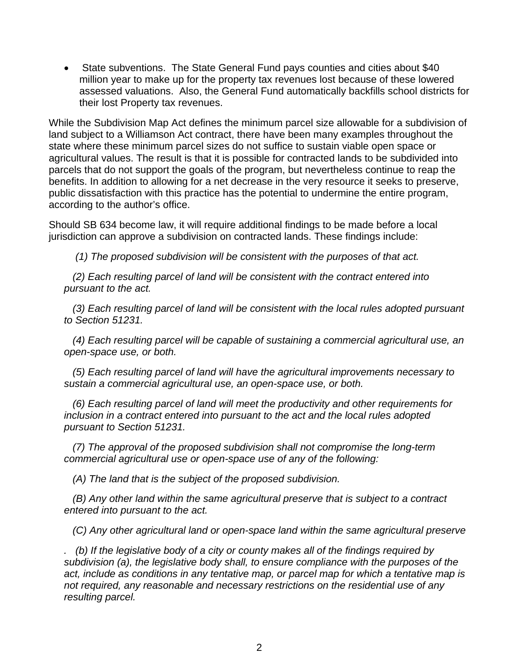• State subventions. The State General Fund pays counties and cities about \$40 million year to make up for the property tax revenues lost because of these lowered assessed valuations. Also, the General Fund automatically backfills school districts for their lost Property tax revenues.

While the Subdivision Map Act defines the minimum parcel size allowable for a subdivision of land subject to a Williamson Act contract, there have been many examples throughout the state where these minimum parcel sizes do not suffice to sustain viable open space or agricultural values. The result is that it is possible for contracted lands to be subdivided into parcels that do not support the goals of the program, but nevertheless continue to reap the benefits. In addition to allowing for a net decrease in the very resource it seeks to preserve, public dissatisfaction with this practice has the potential to undermine the entire program, according to the author's office.

Should SB 634 become law, it will require additional findings to be made before a local jurisdiction can approve a subdivision on contracted lands. These findings include:

 *(1) The proposed subdivision will be consistent with the purposes of that act.* 

 *(2) Each resulting parcel of land will be consistent with the contract entered into pursuant to the act.* 

 *(3) Each resulting parcel of land will be consistent with the local rules adopted pursuant to Section 51231.* 

 *(4) Each resulting parcel will be capable of sustaining a commercial agricultural use, an open-space use, or both.* 

 *(5) Each resulting parcel of land will have the agricultural improvements necessary to sustain a commercial agricultural use, an open-space use, or both.* 

 *(6) Each resulting parcel of land will meet the productivity and other requirements for inclusion in a contract entered into pursuant to the act and the local rules adopted pursuant to Section 51231.* 

 *(7) The approval of the proposed subdivision shall not compromise the long-term commercial agricultural use or open-space use of any of the following:* 

 *(A) The land that is the subject of the proposed subdivision.* 

 *(B) Any other land within the same agricultural preserve that is subject to a contract entered into pursuant to the act.* 

 *(C) Any other agricultural land or open-space land within the same agricultural preserve* 

*. (b) If the legislative body of a city or county makes all of the findings required by subdivision (a), the legislative body shall, to ensure compliance with the purposes of the act, include as conditions in any tentative map, or parcel map for which a tentative map is not required, any reasonable and necessary restrictions on the residential use of any resulting parcel.*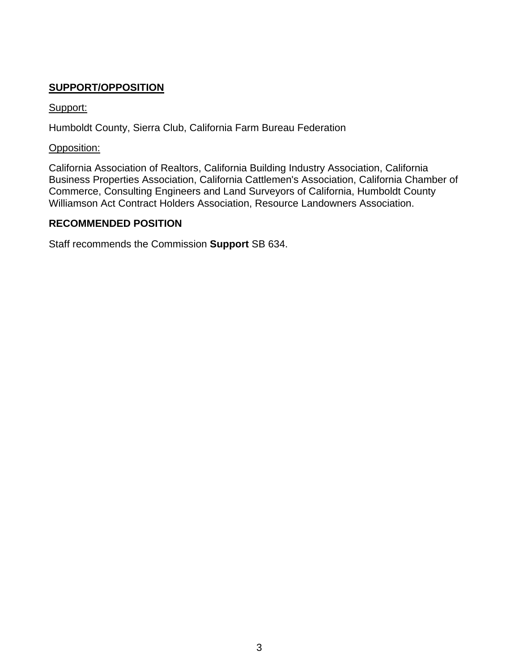## **SUPPORT/OPPOSITION**

## Support:

Humboldt County, Sierra Club, California Farm Bureau Federation

## Opposition:

California Association of Realtors, California Building Industry Association, California Business Properties Association, California Cattlemen's Association, California Chamber of Commerce, Consulting Engineers and Land Surveyors of California, Humboldt County Williamson Act Contract Holders Association, Resource Landowners Association.

## **RECOMMENDED POSITION**

Staff recommends the Commission **Support** SB 634.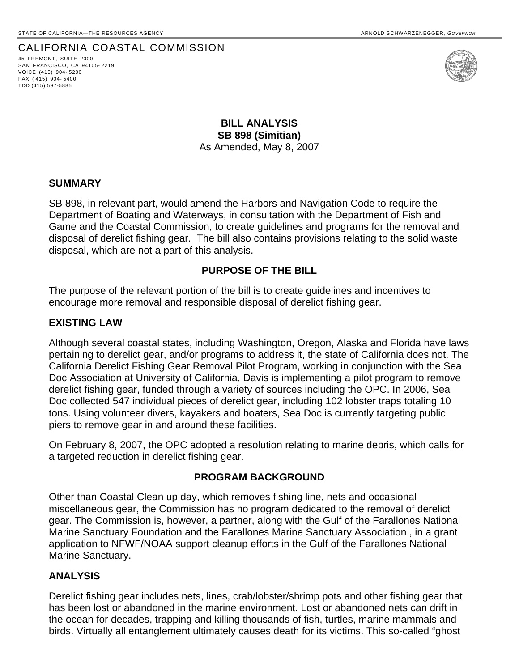## CALIFORNIA COASTAL COMMISSION 45 FREMONT, SUITE <sup>2000</sup>

SAN FRANCISCO, CA 94105- 2219 VOICE (415) 904- 5200 FAX ( 415) 904- 5400 TDD (415) 597-5885



**BILL ANALYSIS SB 898 (Simitian)**  As Amended, May 8, 2007

#### **SUMMARY**

SB 898, in relevant part, would amend the Harbors and Navigation Code to require the Department of Boating and Waterways, in consultation with the Department of Fish and Game and the Coastal Commission, to create guidelines and programs for the removal and disposal of derelict fishing gear. The bill also contains provisions relating to the solid waste disposal, which are not a part of this analysis.

## **PURPOSE OF THE BILL**

The purpose of the relevant portion of the bill is to create guidelines and incentives to encourage more removal and responsible disposal of derelict fishing gear.

## **EXISTING LAW**

Although several coastal states, including Washington, Oregon, Alaska and Florida have laws pertaining to derelict gear, and/or programs to address it, the state of California does not. The California Derelict Fishing Gear Removal Pilot Program, working in conjunction with the Sea Doc Association at University of California, Davis is implementing a pilot program to remove derelict fishing gear, funded through a variety of sources including the OPC. In 2006, Sea Doc collected 547 individual pieces of derelict gear, including 102 lobster traps totaling 10 tons. Using volunteer divers, kayakers and boaters, Sea Doc is currently targeting public piers to remove gear in and around these facilities.

On February 8, 2007, the OPC adopted a resolution relating to marine debris, which calls for a targeted reduction in derelict fishing gear.

#### **PROGRAM BACKGROUND**

Other than Coastal Clean up day, which removes fishing line, nets and occasional miscellaneous gear, the Commission has no program dedicated to the removal of derelict gear. The Commission is, however, a partner, along with the Gulf of the Farallones National Marine Sanctuary Foundation and the Farallones Marine Sanctuary Association , in a grant application to NFWF/NOAA support cleanup efforts in the Gulf of the Farallones National Marine Sanctuary.

#### **ANALYSIS**

Derelict fishing gear includes nets, lines, crab/lobster/shrimp pots and other fishing gear that has been lost or abandoned in the marine environment. Lost or abandoned nets can drift in the ocean for decades, trapping and killing thousands of fish, turtles, marine mammals and birds. Virtually all entanglement ultimately causes death for its victims. This so-called "ghost